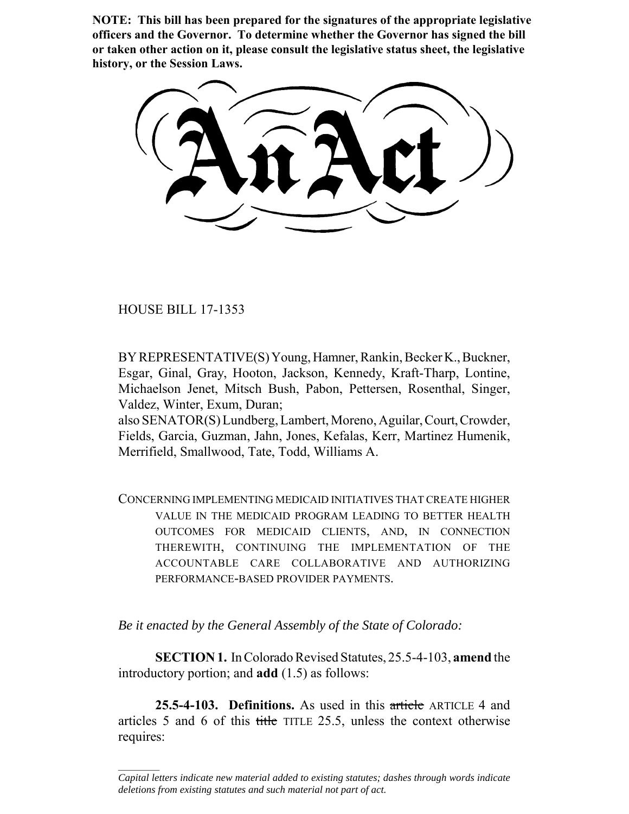**NOTE: This bill has been prepared for the signatures of the appropriate legislative officers and the Governor. To determine whether the Governor has signed the bill or taken other action on it, please consult the legislative status sheet, the legislative history, or the Session Laws.**

HOUSE BILL 17-1353

 $\frac{1}{2}$ 

BY REPRESENTATIVE(S) Young, Hamner, Rankin, Becker K., Buckner, Esgar, Ginal, Gray, Hooton, Jackson, Kennedy, Kraft-Tharp, Lontine, Michaelson Jenet, Mitsch Bush, Pabon, Pettersen, Rosenthal, Singer, Valdez, Winter, Exum, Duran;

also SENATOR(S) Lundberg, Lambert, Moreno, Aguilar, Court, Crowder, Fields, Garcia, Guzman, Jahn, Jones, Kefalas, Kerr, Martinez Humenik, Merrifield, Smallwood, Tate, Todd, Williams A.

CONCERNING IMPLEMENTING MEDICAID INITIATIVES THAT CREATE HIGHER VALUE IN THE MEDICAID PROGRAM LEADING TO BETTER HEALTH OUTCOMES FOR MEDICAID CLIENTS, AND, IN CONNECTION THEREWITH, CONTINUING THE IMPLEMENTATION OF THE ACCOUNTABLE CARE COLLABORATIVE AND AUTHORIZING PERFORMANCE-BASED PROVIDER PAYMENTS.

*Be it enacted by the General Assembly of the State of Colorado:*

**SECTION 1.** In Colorado Revised Statutes, 25.5-4-103, **amend** the introductory portion; and **add** (1.5) as follows:

**25.5-4-103. Definitions.** As used in this article ARTICLE 4 and articles 5 and 6 of this title TITLE 25.5, unless the context otherwise requires:

*Capital letters indicate new material added to existing statutes; dashes through words indicate deletions from existing statutes and such material not part of act.*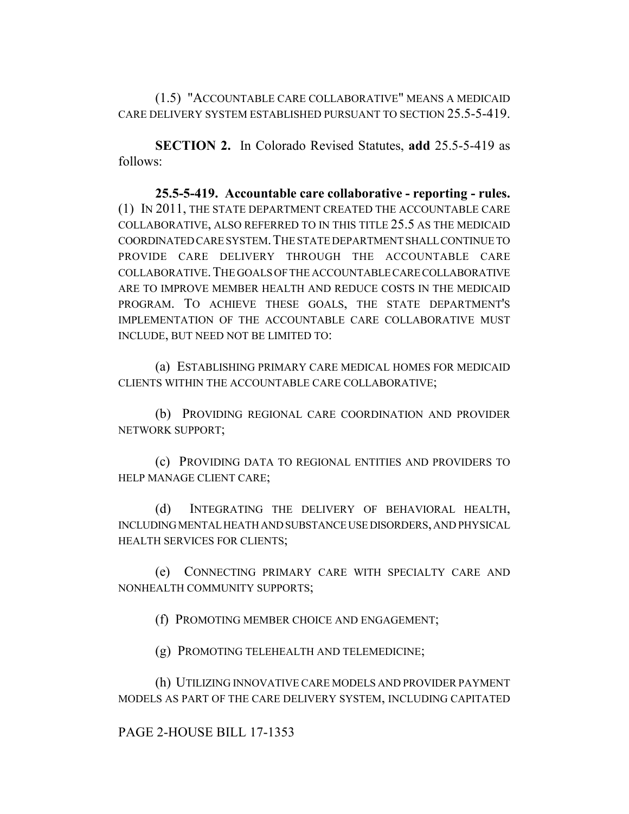(1.5) "ACCOUNTABLE CARE COLLABORATIVE" MEANS A MEDICAID CARE DELIVERY SYSTEM ESTABLISHED PURSUANT TO SECTION 25.5-5-419.

**SECTION 2.** In Colorado Revised Statutes, **add** 25.5-5-419 as follows:

**25.5-5-419. Accountable care collaborative - reporting - rules.** (1) IN 2011, THE STATE DEPARTMENT CREATED THE ACCOUNTABLE CARE COLLABORATIVE, ALSO REFERRED TO IN THIS TITLE 25.5 AS THE MEDICAID COORDINATED CARE SYSTEM.THE STATE DEPARTMENT SHALL CONTINUE TO PROVIDE CARE DELIVERY THROUGH THE ACCOUNTABLE CARE COLLABORATIVE.THE GOALS OF THE ACCOUNTABLE CARE COLLABORATIVE ARE TO IMPROVE MEMBER HEALTH AND REDUCE COSTS IN THE MEDICAID PROGRAM. TO ACHIEVE THESE GOALS, THE STATE DEPARTMENT'S IMPLEMENTATION OF THE ACCOUNTABLE CARE COLLABORATIVE MUST INCLUDE, BUT NEED NOT BE LIMITED TO:

(a) ESTABLISHING PRIMARY CARE MEDICAL HOMES FOR MEDICAID CLIENTS WITHIN THE ACCOUNTABLE CARE COLLABORATIVE;

(b) PROVIDING REGIONAL CARE COORDINATION AND PROVIDER NETWORK SUPPORT;

(c) PROVIDING DATA TO REGIONAL ENTITIES AND PROVIDERS TO HELP MANAGE CLIENT CARE;

(d) INTEGRATING THE DELIVERY OF BEHAVIORAL HEALTH, INCLUDING MENTAL HEATH AND SUBSTANCE USE DISORDERS, AND PHYSICAL HEALTH SERVICES FOR CLIENTS;

(e) CONNECTING PRIMARY CARE WITH SPECIALTY CARE AND NONHEALTH COMMUNITY SUPPORTS;

(f) PROMOTING MEMBER CHOICE AND ENGAGEMENT;

(g) PROMOTING TELEHEALTH AND TELEMEDICINE;

(h) UTILIZING INNOVATIVE CARE MODELS AND PROVIDER PAYMENT MODELS AS PART OF THE CARE DELIVERY SYSTEM, INCLUDING CAPITATED

PAGE 2-HOUSE BILL 17-1353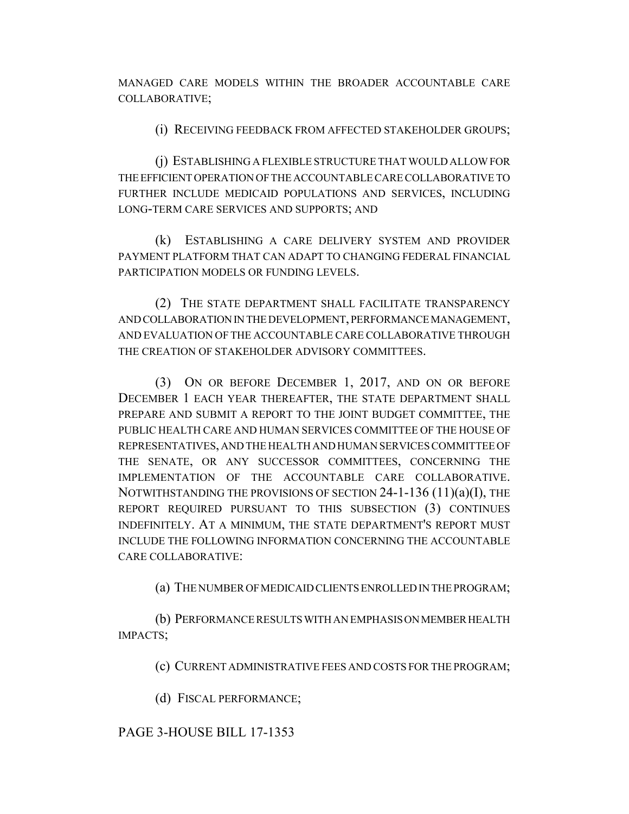MANAGED CARE MODELS WITHIN THE BROADER ACCOUNTABLE CARE COLLABORATIVE;

(i) RECEIVING FEEDBACK FROM AFFECTED STAKEHOLDER GROUPS;

(j) ESTABLISHING A FLEXIBLE STRUCTURE THAT WOULD ALLOW FOR THE EFFICIENT OPERATION OF THE ACCOUNTABLE CARE COLLABORATIVE TO FURTHER INCLUDE MEDICAID POPULATIONS AND SERVICES, INCLUDING LONG-TERM CARE SERVICES AND SUPPORTS; AND

(k) ESTABLISHING A CARE DELIVERY SYSTEM AND PROVIDER PAYMENT PLATFORM THAT CAN ADAPT TO CHANGING FEDERAL FINANCIAL PARTICIPATION MODELS OR FUNDING LEVELS.

(2) THE STATE DEPARTMENT SHALL FACILITATE TRANSPARENCY AND COLLABORATION IN THE DEVELOPMENT, PERFORMANCE MANAGEMENT, AND EVALUATION OF THE ACCOUNTABLE CARE COLLABORATIVE THROUGH THE CREATION OF STAKEHOLDER ADVISORY COMMITTEES.

(3) ON OR BEFORE DECEMBER 1, 2017, AND ON OR BEFORE DECEMBER 1 EACH YEAR THEREAFTER, THE STATE DEPARTMENT SHALL PREPARE AND SUBMIT A REPORT TO THE JOINT BUDGET COMMITTEE, THE PUBLIC HEALTH CARE AND HUMAN SERVICES COMMITTEE OF THE HOUSE OF REPRESENTATIVES, AND THE HEALTH AND HUMAN SERVICES COMMITTEE OF THE SENATE, OR ANY SUCCESSOR COMMITTEES, CONCERNING THE IMPLEMENTATION OF THE ACCOUNTABLE CARE COLLABORATIVE. NOTWITHSTANDING THE PROVISIONS OF SECTION 24-1-136 (11)(a)(I), THE REPORT REQUIRED PURSUANT TO THIS SUBSECTION (3) CONTINUES INDEFINITELY. AT A MINIMUM, THE STATE DEPARTMENT'S REPORT MUST INCLUDE THE FOLLOWING INFORMATION CONCERNING THE ACCOUNTABLE CARE COLLABORATIVE:

(a) THE NUMBER OF MEDICAID CLIENTS ENROLLED IN THE PROGRAM;

(b) PERFORMANCE RESULTS WITH AN EMPHASIS ON MEMBER HEALTH IMPACTS;

(c) CURRENT ADMINISTRATIVE FEES AND COSTS FOR THE PROGRAM;

(d) FISCAL PERFORMANCE;

## PAGE 3-HOUSE BILL 17-1353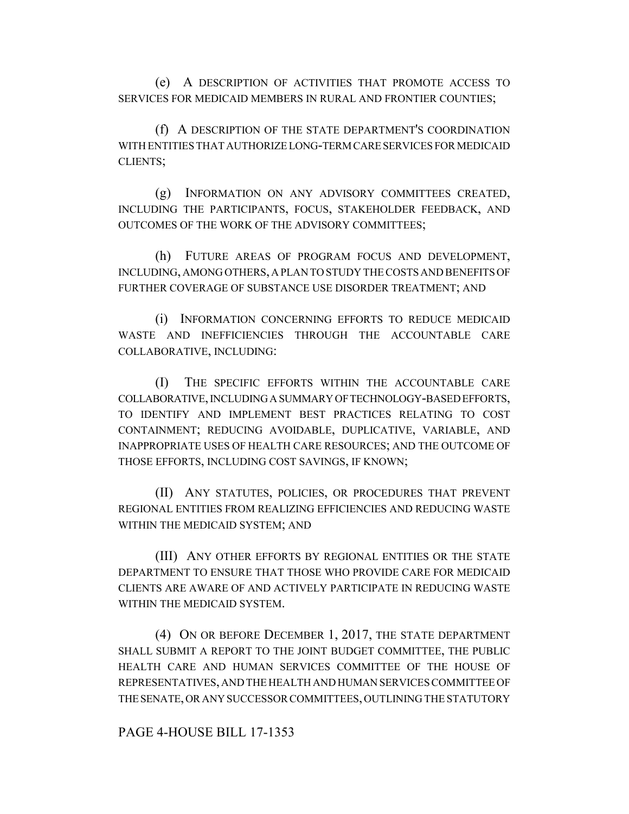(e) A DESCRIPTION OF ACTIVITIES THAT PROMOTE ACCESS TO SERVICES FOR MEDICAID MEMBERS IN RURAL AND FRONTIER COUNTIES;

(f) A DESCRIPTION OF THE STATE DEPARTMENT'S COORDINATION WITH ENTITIES THAT AUTHORIZE LONG-TERM CARE SERVICES FOR MEDICAID CLIENTS;

(g) INFORMATION ON ANY ADVISORY COMMITTEES CREATED, INCLUDING THE PARTICIPANTS, FOCUS, STAKEHOLDER FEEDBACK, AND OUTCOMES OF THE WORK OF THE ADVISORY COMMITTEES;

(h) FUTURE AREAS OF PROGRAM FOCUS AND DEVELOPMENT, INCLUDING, AMONG OTHERS, A PLAN TO STUDY THE COSTS AND BENEFITS OF FURTHER COVERAGE OF SUBSTANCE USE DISORDER TREATMENT; AND

(i) INFORMATION CONCERNING EFFORTS TO REDUCE MEDICAID WASTE AND INEFFICIENCIES THROUGH THE ACCOUNTABLE CARE COLLABORATIVE, INCLUDING:

(I) THE SPECIFIC EFFORTS WITHIN THE ACCOUNTABLE CARE COLLABORATIVE, INCLUDING A SUMMARY OF TECHNOLOGY-BASED EFFORTS, TO IDENTIFY AND IMPLEMENT BEST PRACTICES RELATING TO COST CONTAINMENT; REDUCING AVOIDABLE, DUPLICATIVE, VARIABLE, AND INAPPROPRIATE USES OF HEALTH CARE RESOURCES; AND THE OUTCOME OF THOSE EFFORTS, INCLUDING COST SAVINGS, IF KNOWN;

(II) ANY STATUTES, POLICIES, OR PROCEDURES THAT PREVENT REGIONAL ENTITIES FROM REALIZING EFFICIENCIES AND REDUCING WASTE WITHIN THE MEDICAID SYSTEM; AND

(III) ANY OTHER EFFORTS BY REGIONAL ENTITIES OR THE STATE DEPARTMENT TO ENSURE THAT THOSE WHO PROVIDE CARE FOR MEDICAID CLIENTS ARE AWARE OF AND ACTIVELY PARTICIPATE IN REDUCING WASTE WITHIN THE MEDICAID SYSTEM.

(4) ON OR BEFORE DECEMBER 1, 2017, THE STATE DEPARTMENT SHALL SUBMIT A REPORT TO THE JOINT BUDGET COMMITTEE, THE PUBLIC HEALTH CARE AND HUMAN SERVICES COMMITTEE OF THE HOUSE OF REPRESENTATIVES, AND THE HEALTH AND HUMAN SERVICES COMMITTEE OF THE SENATE, OR ANY SUCCESSOR COMMITTEES, OUTLINING THE STATUTORY

PAGE 4-HOUSE BILL 17-1353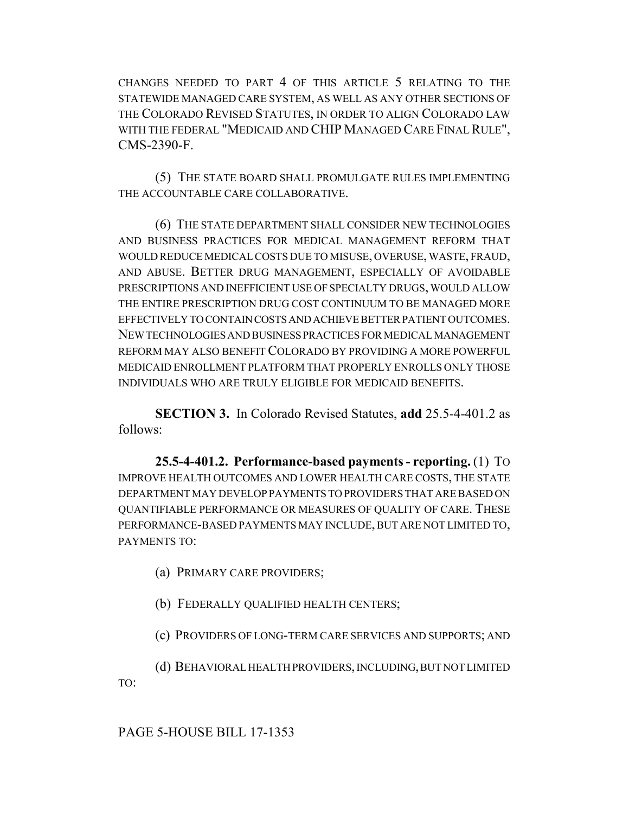CHANGES NEEDED TO PART 4 OF THIS ARTICLE 5 RELATING TO THE STATEWIDE MANAGED CARE SYSTEM, AS WELL AS ANY OTHER SECTIONS OF THE COLORADO REVISED STATUTES, IN ORDER TO ALIGN COLORADO LAW WITH THE FEDERAL "MEDICAID AND CHIP MANAGED CARE FINAL RULE", CMS-2390-F.

(5) THE STATE BOARD SHALL PROMULGATE RULES IMPLEMENTING THE ACCOUNTABLE CARE COLLABORATIVE.

(6) THE STATE DEPARTMENT SHALL CONSIDER NEW TECHNOLOGIES AND BUSINESS PRACTICES FOR MEDICAL MANAGEMENT REFORM THAT WOULD REDUCE MEDICAL COSTS DUE TO MISUSE, OVERUSE, WASTE, FRAUD, AND ABUSE. BETTER DRUG MANAGEMENT, ESPECIALLY OF AVOIDABLE PRESCRIPTIONS AND INEFFICIENT USE OF SPECIALTY DRUGS, WOULD ALLOW THE ENTIRE PRESCRIPTION DRUG COST CONTINUUM TO BE MANAGED MORE EFFECTIVELY TO CONTAIN COSTS AND ACHIEVE BETTER PATIENT OUTCOMES. NEW TECHNOLOGIES AND BUSINESS PRACTICES FOR MEDICAL MANAGEMENT REFORM MAY ALSO BENEFIT COLORADO BY PROVIDING A MORE POWERFUL MEDICAID ENROLLMENT PLATFORM THAT PROPERLY ENROLLS ONLY THOSE INDIVIDUALS WHO ARE TRULY ELIGIBLE FOR MEDICAID BENEFITS.

**SECTION 3.** In Colorado Revised Statutes, **add** 25.5-4-401.2 as follows:

**25.5-4-401.2. Performance-based payments - reporting.** (1) TO IMPROVE HEALTH OUTCOMES AND LOWER HEALTH CARE COSTS, THE STATE DEPARTMENT MAY DEVELOP PAYMENTS TO PROVIDERS THAT ARE BASED ON QUANTIFIABLE PERFORMANCE OR MEASURES OF QUALITY OF CARE. THESE PERFORMANCE-BASED PAYMENTS MAY INCLUDE, BUT ARE NOT LIMITED TO, PAYMENTS TO:

(a) PRIMARY CARE PROVIDERS;

(b) FEDERALLY QUALIFIED HEALTH CENTERS;

(c) PROVIDERS OF LONG-TERM CARE SERVICES AND SUPPORTS; AND

(d) BEHAVIORAL HEALTH PROVIDERS, INCLUDING, BUT NOT LIMITED TO:

PAGE 5-HOUSE BILL 17-1353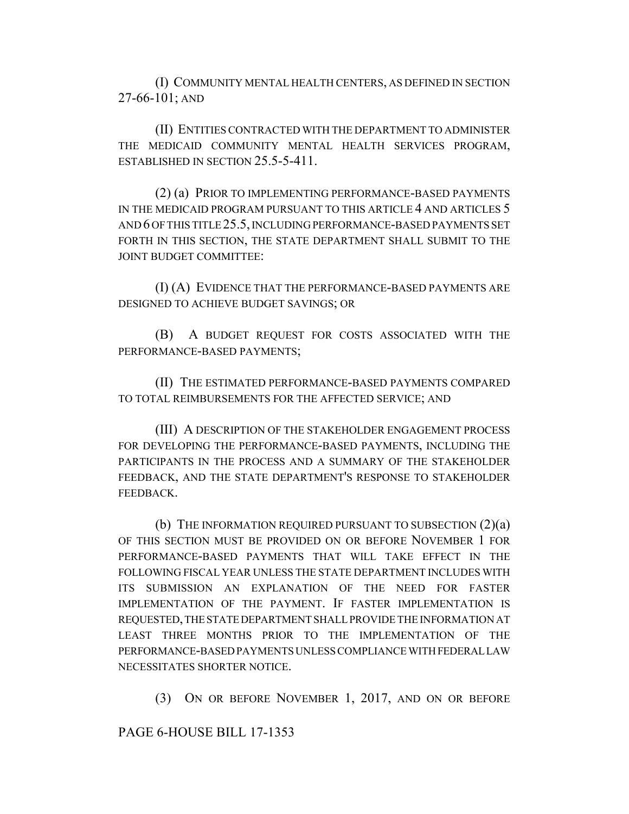(I) COMMUNITY MENTAL HEALTH CENTERS, AS DEFINED IN SECTION 27-66-101; AND

(II) ENTITIES CONTRACTED WITH THE DEPARTMENT TO ADMINISTER THE MEDICAID COMMUNITY MENTAL HEALTH SERVICES PROGRAM, ESTABLISHED IN SECTION 25.5-5-411.

(2) (a) PRIOR TO IMPLEMENTING PERFORMANCE-BASED PAYMENTS IN THE MEDICAID PROGRAM PURSUANT TO THIS ARTICLE 4 AND ARTICLES 5 AND 6 OF THIS TITLE 25.5, INCLUDING PERFORMANCE-BASED PAYMENTS SET FORTH IN THIS SECTION, THE STATE DEPARTMENT SHALL SUBMIT TO THE JOINT BUDGET COMMITTEE:

(I) (A) EVIDENCE THAT THE PERFORMANCE-BASED PAYMENTS ARE DESIGNED TO ACHIEVE BUDGET SAVINGS; OR

(B) A BUDGET REQUEST FOR COSTS ASSOCIATED WITH THE PERFORMANCE-BASED PAYMENTS;

(II) THE ESTIMATED PERFORMANCE-BASED PAYMENTS COMPARED TO TOTAL REIMBURSEMENTS FOR THE AFFECTED SERVICE; AND

(III) A DESCRIPTION OF THE STAKEHOLDER ENGAGEMENT PROCESS FOR DEVELOPING THE PERFORMANCE-BASED PAYMENTS, INCLUDING THE PARTICIPANTS IN THE PROCESS AND A SUMMARY OF THE STAKEHOLDER FEEDBACK, AND THE STATE DEPARTMENT'S RESPONSE TO STAKEHOLDER FEEDBACK.

(b) THE INFORMATION REQUIRED PURSUANT TO SUBSECTION (2)(a) OF THIS SECTION MUST BE PROVIDED ON OR BEFORE NOVEMBER 1 FOR PERFORMANCE-BASED PAYMENTS THAT WILL TAKE EFFECT IN THE FOLLOWING FISCAL YEAR UNLESS THE STATE DEPARTMENT INCLUDES WITH ITS SUBMISSION AN EXPLANATION OF THE NEED FOR FASTER IMPLEMENTATION OF THE PAYMENT. IF FASTER IMPLEMENTATION IS REQUESTED, THE STATE DEPARTMENT SHALL PROVIDE THE INFORMATION AT LEAST THREE MONTHS PRIOR TO THE IMPLEMENTATION OF THE PERFORMANCE-BASED PAYMENTS UNLESS COMPLIANCE WITH FEDERAL LAW NECESSITATES SHORTER NOTICE.

(3) ON OR BEFORE NOVEMBER 1, 2017, AND ON OR BEFORE

PAGE 6-HOUSE BILL 17-1353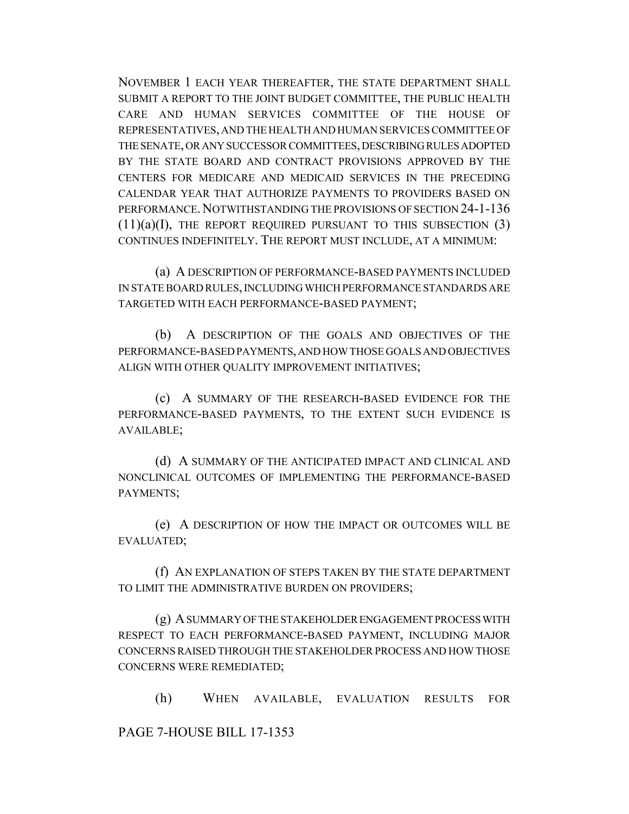NOVEMBER 1 EACH YEAR THEREAFTER, THE STATE DEPARTMENT SHALL SUBMIT A REPORT TO THE JOINT BUDGET COMMITTEE, THE PUBLIC HEALTH CARE AND HUMAN SERVICES COMMITTEE OF THE HOUSE OF REPRESENTATIVES, AND THE HEALTH AND HUMAN SERVICES COMMITTEE OF THE SENATE, OR ANY SUCCESSOR COMMITTEES, DESCRIBING RULES ADOPTED BY THE STATE BOARD AND CONTRACT PROVISIONS APPROVED BY THE CENTERS FOR MEDICARE AND MEDICAID SERVICES IN THE PRECEDING CALENDAR YEAR THAT AUTHORIZE PAYMENTS TO PROVIDERS BASED ON PERFORMANCE. NOTWITHSTANDING THE PROVISIONS OF SECTION 24-1-136  $(11)(a)(I)$ , THE REPORT REQUIRED PURSUANT TO THIS SUBSECTION  $(3)$ CONTINUES INDEFINITELY. THE REPORT MUST INCLUDE, AT A MINIMUM:

(a) A DESCRIPTION OF PERFORMANCE-BASED PAYMENTS INCLUDED IN STATE BOARD RULES, INCLUDING WHICH PERFORMANCE STANDARDS ARE TARGETED WITH EACH PERFORMANCE-BASED PAYMENT;

(b) A DESCRIPTION OF THE GOALS AND OBJECTIVES OF THE PERFORMANCE-BASED PAYMENTS, AND HOW THOSE GOALS AND OBJECTIVES ALIGN WITH OTHER QUALITY IMPROVEMENT INITIATIVES;

(c) A SUMMARY OF THE RESEARCH-BASED EVIDENCE FOR THE PERFORMANCE-BASED PAYMENTS, TO THE EXTENT SUCH EVIDENCE IS AVAILABLE;

(d) A SUMMARY OF THE ANTICIPATED IMPACT AND CLINICAL AND NONCLINICAL OUTCOMES OF IMPLEMENTING THE PERFORMANCE-BASED PAYMENTS;

(e) A DESCRIPTION OF HOW THE IMPACT OR OUTCOMES WILL BE EVALUATED;

(f) AN EXPLANATION OF STEPS TAKEN BY THE STATE DEPARTMENT TO LIMIT THE ADMINISTRATIVE BURDEN ON PROVIDERS;

(g) A SUMMARY OF THE STAKEHOLDER ENGAGEMENT PROCESS WITH RESPECT TO EACH PERFORMANCE-BASED PAYMENT, INCLUDING MAJOR CONCERNS RAISED THROUGH THE STAKEHOLDER PROCESS AND HOW THOSE CONCERNS WERE REMEDIATED;

(h) WHEN AVAILABLE, EVALUATION RESULTS FOR

PAGE 7-HOUSE BILL 17-1353